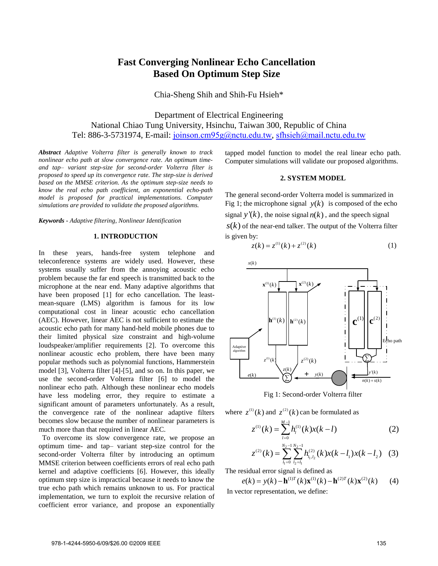# **Fast Converging Nonlinear Echo Cancellation Based On Optimum Step Size**

Chia-Sheng Shih and Shih-Fu Hsieh\*

Department of Electrical Engineering National Chiao Tung University, Hsinchu, Taiwan 300, Republic of China Tel: 886-3-5731974, E-mail: [joinson.cm95g@nctu.edu.tw](mailto:joinson.cm95g@nctu.edu.tw), [sfhsieh@mail.nctu.edu.tw](mailto:sfhsieh@mail.nctu.edu.tw)

*Abstract Adaptive Volterra filter is generally known to track nonlinear echo path at slow convergence rate. An optimum timeand tap– variant step-size for second-order Volterra filter is proposed to speed up its convergence rate. The step-size is derived based on the MMSE criterion. As the optimum step-size needs to know the real echo path coefficient, an exponential echo-path model is proposed for practical implementations. Computer simulations are provided to validate the proposed algorithms.*

#### *Keywords* **-** *Adaptive filtering, Nonlinear Identification*

# **1. INTRODUCTION**

In these years, hands-free system telephone and teleconference systems are widely used. However, these systems usually suffer from the annoying acoustic echo problem because the far end speech is transmitted back to the microphone at the near end. Many adaptive algorithms that have been proposed [1] for echo cancellation. The leastmean-square (LMS) algorithm is famous for its low computational cost in linear acoustic echo cancellation (AEC). However, linear AEC is not sufficient to estimate the acoustic echo path for many hand-held mobile phones due to their limited physical size constraint and high-volume loudspeaker/amplifier requirements [2]. To overcome this nonlinear acoustic echo problem, there have been many popular methods such as polynomial functions, Hammerstein model [3], Volterra filter [4]-[5], and so on. In this paper, we use the second-order Volterra filter [6] to model the nonlinear echo path. Although these nonlinear echo models have less modeling error, they require to estimate a significant amount of parameters unfortunately. As a result, the convergence rate of the nonlinear adaptive filters becomes slow because the number of nonlinear parameters is much more than that required in linear AEC.

 To overcome its slow convergence rate, we propose an optimum time- and tap– variant step-size control for the second-order Volterra filter by introducing an optimum MMSE criterion between coefficients errors of real echo path kernel and adaptive coefficients [6]. However, this ideally optimum step size is impractical because it needs to know the true echo path which remains unknown to us. For practical implementation, we turn to exploit the recursive relation of coefficient error variance, and propose an exponentially

tapped model function to model the real linear echo path. Computer simulations will validate our proposed algorithms.

## **2. SYSTEM MODEL**

The general second-order Volterra model is summarized in Fig 1; the microphone signal  $y(k)$  is composed of the echo signal  $y'(k)$ , the noise signal  $n(k)$ , and the speech signal  $s(k)$  of the near-end talker. The output of the Volterra filter is given by:

$$
z(k) = z^{(1)}(k) + z^{(2)}(k)
$$
 (1)



Fig 1: Second-order Volterra filter

where 
$$
z^{(1)}(k)
$$
 and  $z^{(2)}(k)$  can be formulated as  
\n
$$
z^{(1)}(k) = \sum_{l=0}^{M-1} h_l^{(1)}(k)x(k-l)
$$
\n(2)

$$
z^{(1)}(k) = \sum_{l=0}^{N_2-1} h_l^{(1)}(k)x(k-l)
$$
(2)  

$$
z^{(2)}(k) = \sum_{l_1=0}^{N_2-1} \sum_{l_2=l_1}^{N_2-1} h_{l_1,l_2}^{(2)}(k)x(k-l_1)x(k-l_2)
$$
(3)

The residual error signal is defined as

 $e(k) = v(k) - \mathbf{h}^{(1)T}(k)\mathbf{x}^{(1)}(k) - \mathbf{h}^{(2)T}(k)\mathbf{x}^{(2)}(k)$  (4) In vector representation, we define: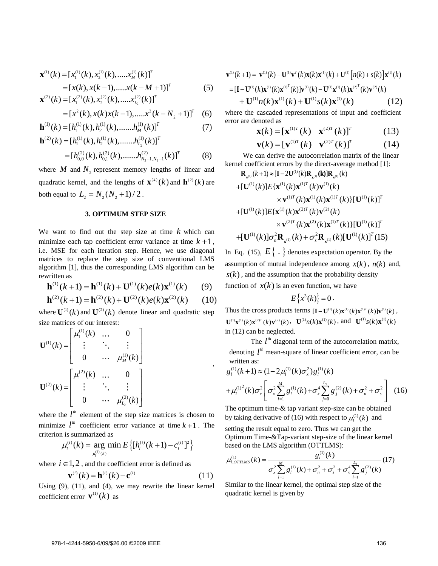$$
\mathbf{x}^{(1)}(k) = [x_1^{(1)}(k), x_2^{(1)}(k), \dots, x_M^{(1)}(k)]^T
$$
  
\n
$$
= [x(k), x(k-1), \dots, x(k-M+1)]^T
$$
  
\n
$$
\mathbf{x}^{(2)}(k) = [x_1^{(2)}(k), x_2^{(2)}(k), \dots, x_{L_2}^{(2)}(k)]^T
$$
\n(5)

$$
\mathbf{x}^{(2)}(k) = [x_1^{(2)}(k), x_2^{(2)}(k), \dots, x_{L_2}^{(2)}(k)]^T
$$
  
=  $[x^2(k), x(k)x(k-1), \dots, x^2(k-N_2+1)]^T$  (6)

$$
= [x2(k), x(k)x(k-1),......x2(k-N2+1)]T (6)
$$
  

$$
\mathbf{h}(1)(k) = [h1(1)(k), h2(1)(k),......hM(1)(k)]T (7)
$$
  

$$
\mathbf{h}(2)(k) = [h1(1)(k), h2(1)(k),......hL2(1)(k)]T
$$

$$
\mathbf{h}^{(2)}(k) = [h_1^{(1)}(k), h_2^{(1)}(k), \dots, h_{L_2}^{(1)}(k)]^T
$$
  
=  $[h_{0,0}^{(2)}(k), h_{0,1}^{(2)}(k), \dots, h_{N_2-1,N_2-1}^{(2)}(k)]^T$  (8)

where  $M$  and  $N<sub>2</sub>$  represent memory lengths of linear and quadratic kernel, and the lengths of  $\mathbf{x}^{(2)}(k)$  and  $\mathbf{h}^{(2)}(k)$  are both equal to  $L_2 = N_2 (N_2 + 1) / 2$ .

### **3. OPTIMUM STEP SIZE**

We want to find out the step size at time  $k$  which can minimize each tap coefficient error variance at time  $k+1$ , i.e. MSE for each iteration step. Hence, we use diagonal matrices to replace the step size of conventional LMS algorithm [1], thus the corresponding LMS algorithm can be<br>
rewritten as<br> **h**<sup>(1)</sup>(*k* + 1) = **h**<sup>(1)</sup>(*k*) + **U**<sup>(1)</sup>(*k*)*e*(*k*)**x**<sup>(1)</sup>(*k*) (9)<br> **h**<sup>(2)</sup>(*k* + 1) = **h**<sup>(2)</sup>(*k*) + **U**<sup>(2)</sup>(*k*)*e*(*k*)**x**<sup>(2)</sup>(*k*) rewritten as

$$
\mathbf{h}^{(1)}(k+1) = \mathbf{h}^{(1)}(k) + \mathbf{U}^{(1)}(k)e(k)\mathbf{x}^{(1)}(k) \qquad (9)
$$

$$
\mathbf{h}^{(2)}(k+1) = \mathbf{h}^{(2)}(k) + \mathbf{U}^{(2)}(k)e(k)\mathbf{x}^{(2)}(k) \qquad (10)
$$

,

where  $\mathbf{U}^{(1)}(k)$  and  $\mathbf{U}^{(2)}(k)$  denote linear and quadratic step

size matrices of our interest:  
\n
$$
\mathbf{U}^{(1)}(k) = \begin{bmatrix} \mu_1^{(1)}(k) & \cdots & 0 \\ \vdots & \ddots & \vdots \\ 0 & \cdots & \mu_M^{(1)}(k) \end{bmatrix}
$$
\n
$$
\mathbf{U}^{(2)}(k) = \begin{bmatrix} \mu_1^{(2)}(k) & \cdots & 0 \\ \vdots & \ddots & \vdots \\ 0 & \cdots & \mu_{L_2}^{(2)}(k) \end{bmatrix}
$$

where the  $l^h$  element of the step size matrices is chosen to minimize  $l^{th}$  coefficient error variance at time  $k+1$ . The criterion is summarized as<br>  $\mu_l^{(i)}(k) = \arg \min E \left\{ [h_l^{(i)}(k+1) - c_l^{(i)}]^2 \right\}$ 

n is summarized as  

$$
\mu_l^{(i)}(k) = \underset{\mu_l^{(i)}(k)}{\arg \min} E\left\{ [h_l^{(i)}(k+1) - c_l^{(i)}]^2 \right\}
$$

where  $i \in 1, 2$ , and the coefficient error is defined as

where 
$$
i \in 1, 2
$$
, and the coefficient error is defined as  
\n
$$
\mathbf{v}^{(i)}(k) = \mathbf{h}^{(i)}(k) - \mathbf{c}^{(i)}
$$
\n(11)

Using (9), (11), and (4), we may rewrite the linear kernel coefficient error  $\mathbf{v}^{(1)}(k)$  as

$$
\mathbf{v}^{(i)}(k+1) = \mathbf{v}^{(i)}(k) - \mathbf{U}^{(i)}\mathbf{v}^{T}(k)\mathbf{x}(k)\mathbf{x}^{(i)}(k) + \mathbf{U}^{(i)}[n(k) + s(k)]\mathbf{x}^{(i)}(k)
$$
  
\n
$$
= [\mathbf{I} - \mathbf{U}^{(i)}(k)\mathbf{x}^{(i)}(k)\mathbf{x}^{(i)^{T}}(k)]\mathbf{v}^{(i)}(k) - \mathbf{U}^{(i)}\mathbf{x}^{(i)}(k)\mathbf{x}^{(2)^{T}}(k)\mathbf{v}^{(2)}(k)
$$
  
\n
$$
+ \mathbf{U}^{(1)}n(k)\mathbf{x}^{(1)}(k) + \mathbf{U}^{(1)}s(k)\mathbf{x}^{(1)}(k)
$$
 (12)

where the cascaded representations of input and coefficient error are denoted as

enoted as  
\n
$$
\mathbf{x}(k) = [\mathbf{x}^{(1)T}(k) \quad \mathbf{x}^{(2)T}(k)]^T
$$
\n(13)

$$
\mathbf{x}(k) = [\mathbf{x}^{\text{\tiny (1)T}}(k) \quad \mathbf{x}^{\text{\tiny (2)T}}(k)]^T
$$
(13)  

$$
\mathbf{v}(k) = [\mathbf{v}^{\text{\tiny (1)T}}(k) \quad \mathbf{v}^{\text{\tiny (2)T}}(k)]^T
$$
(14)

We can derive the autocorrelation matrix of the linear

\n Exernel coefficient errors by the direct-average method [1]:\n 
$$
\mathbf{R}_{\mathbf{v}^{(1)}}(k+1) \approx [\mathbf{I} - 2\mathbf{U}^{(1)}(k)\mathbf{R}_{\mathbf{v}^{(1)}}(\mathbf{k})]\mathbf{R}_{\mathbf{v}^{(1)}}(k)\n + [\mathbf{U}^{(1)}(k)]E\{\mathbf{x}^{(1)}(k)\mathbf{x}^{(1)T}(k)\mathbf{v}^{(1)}(k)\n \times \mathbf{v}^{(1)T}(k)\mathbf{x}^{(1)T}(k)\mathbf{x}^{(1)T}(k)][\mathbf{U}^{(1)}(k)]^T\n + [\mathbf{U}^{(1)}(k)]E\{\mathbf{x}^{(1)}(k)\mathbf{x}^{(2)T}(k)\mathbf{v}^{(2)}(k)\n \times \mathbf{v}^{(2)T}(k)\mathbf{x}^{(2)T}(k)\mathbf{x}^{(1)T}(k)][\mathbf{U}^{(1)}(k)]^T\n + [\mathbf{U}^{(1)}(k)]\sigma_n^2 \mathbf{R}_{\mathbf{x}^{(1)}}(k) + \sigma_s^2 \mathbf{R}_{\mathbf{x}^{(1)}}(k)[\mathbf{U}^{(1)}(k)]^T(15)\n
$$

In Eq. (15),  $E\{\cdot\}$  denotes expectation operator. By the assumption of mutual independence among  $x(k)$ ,  $n(k)$  and,  $s(k)$ , and the assumption that the probability density function of  $x(k)$  is an even function, we have

$$
E\left\{x^3(k)\right\}=0.
$$

Thus the cross products terms  $[\mathbf{I} - \mathbf{U}^{(1)}(k)\mathbf{x}^{(1)}(k)\mathbf{x}^{(1)T}(k)]\mathbf{v}^{(1)}(k)$ ,  $\mathbf{U}^{(1)}\mathbf{x}^{(1)}(k)\mathbf{x}^{(2)T}(k)\mathbf{v}^{(2)}(k)$ ,  $\mathbf{U}^{(1)}n(k)\mathbf{x}^{(1)}(k)$ , and  $\mathbf{U}^{(1)}s(k)\mathbf{x}^{(1)}(k)$ in (12) can be neglected.

The  $l^{\text{th}}$  diagonal term of the autocorrelation matrix, denoting  $l^{\text{th}}$  mean-square of linear coefficient error, can be written as:<br>  $g_l^{(1)}(k+1) \approx (1 - 2\mu_l^{(1)}(k)\sigma_x^2)g_l^{(1)}(k)$ written as:<br>  $v^{(1)}(k+1) \approx (1 - 2 \mu^{(1)}(k) \sigma^2) g^{(1)}$ 

written as:  
\n
$$
g_l^{(1)}(k+1) \approx (1 - 2\mu_l^{(1)}(k)\sigma_x^2) g_l^{(1)}(k)
$$
\n
$$
+ \mu_l^{(1)^2}(k)\sigma_x^2 \left[ \sigma_x^2 \sum_{l=1}^M g_l^{(1)}(k) + \sigma_x^4 \sum_{j=0}^{L_2} g_j^{(2)}(k) + \sigma_n^2 + \sigma_s^2 \right]
$$
(16)

The optimum time-& tap variant step-size can be obtained by taking derivative of (16) with respect to  $\mu_l^{(1)}(k)$  and

setting the result equal to zero. Thus we can get the Optimum Time-&Tap-variant step-size of the linear kernel<br>based on the LMS algorithm (OTTLMS):<br> $\mu_{i,OTIMS}^{(1)}(k) = \frac{g_i^{(1)}(k)}{g_i^{(1)}(k)}$  (17) based on the LMS algorithm (OTTLMS): Time-&Tap-variant step-siz<br>he LMS algorithm (OTTLN<br> $k$ ) =  $\frac{g_l^{(1)}(k)}{g_l^{(2)}(k)}$ 

$$
\mu_{l,OTILMS}^{(1)}(k) = \frac{g_l^{(1)}(k)}{\sigma_x^2 \sum_{l=1}^{M} g_l^{(1)}(k) + \sigma_n^2 + \sigma_s^2 + \sigma_x^4 \sum_{l=1}^{L_2} g_l^{(2)}(k)} \tag{17}
$$

Similar to the linear kernel, the optimal step size of the quadratic kernel is given by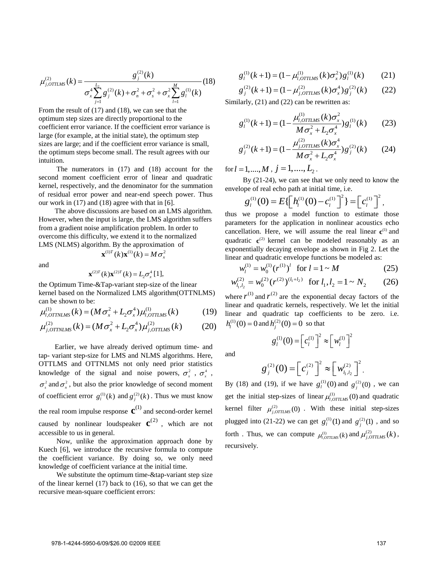$$
\mu_{j,OTILMS}^{(2)}(k) = \frac{g_j^{(2)}(k)}{\sigma_x^4 \sum_{j=1}^{L_2} g_j^{(2)}(k) + \sigma_n^2 + \sigma_s^2 + \sigma_x^2 \sum_{l=1}^{M} g_l^{(1)}(k)} (18)
$$

From the result of (17) and (18), we can see that the optimum step sizes are directly proportional to the coefficient error variance. If the coefficient error variance is large (for example, at the initial state), the optimum step sizes are large; and if the coefficient error variance is small, the optimum steps become small. The result agrees with our intuition.

The numerators in (17) and (18) account for the second moment coefficient error of linear and quadratic kernel, respectively, and the denominator for the summation of residual error power and near-end speech power. Thus our work in (17) and (18) agree with that in [6].

The above discussions are based on an LMS algorithm. However, when the input is large, the LMS algorithm suffers from a gradient noise amplification problem. In order to overcome this difficulty, we extend it to the normalized LMS (NLMS) algorithm. By the approximation of

and

$$
\mathbf{x}^{(2)T}(k)\mathbf{x}^{(2)T}(k) = L_2 \sigma_x^4 [1],
$$

 $\mathbf{x}^{(1)T}$   $(k)$   $\mathbf{x}^{(1)}$  $(k)$  =  $M\sigma_x^2$ 

the Optimum Time-&Tap-variant step-size of the linear kernel based on the Normalized LMS algorithm(OTTNLMS)<br>
can be shown to be:<br>  $\mu_{l,OTNLMS}^{(1)}(k) = (M\sigma_x^2 + L_2\sigma_x^4)\mu_{l,OTLMS}^{(1)}(k)$  (19)<br>  $\mu_{l,OTNLMS}^{(2)}(k) = (M\sigma_x^2 + L_2\sigma_x^4)\mu_{l,OTLMS}^{(2)}(k)$  (20) can be shown to be:<br>  $\mu^{(1)}_{\text{commute}}(k) = (M\sigma^2 + I_{\text{e}}\sigma^4)\mu^{(1)}_{\text{e}}$ 

$$
\mu_{l,OTINLMS}^{(1)}(k) = (M\sigma_x^2 + L_2\sigma_x^4)\mu_{l,OTILMS}^{(1)}(k)
$$
\n
$$
\mu_{j,OTINLMS}^{(2)}(k) = (M\sigma_x^2 + L_2\sigma_x^4)\mu_{j,OTILMS}^{(2)}(k)
$$
\n(19)

$$
\mu_{j,OTINLMS}^{(2)}(k) = (M\sigma_x^2 + L_2\sigma_x^4)\mu_{j,OTILMS}^{(2)}(k)
$$
 (20)

Earlier, we have already derived optimum time- and tap- variant step-size for LMS and NLMS algorithms. Here, OTTLMS and OTTNLMS not only need prior statistics knowledge of the signal and noise powers,  $\sigma_x^2$ ,  $\sigma_x^4$ ,  $\sigma_s^2$  and  $\sigma_n^2$ , but also the prior knowledge of second moment of coefficient error  $g_l^{(1)}(k)$  and  $g_j^{(2)}(k)$ . Thus we must know the real room impulse response  $\mathbf{c}^{(1)}$  and second-order kernel caused by nonlinear loudspeaker  $\mathbf{c}^{(2)}$ , which are not accessible to us in general.

Now, unlike the approximation approach done by Kuech [6], we introduce the recursive formula to compute the coefficient variance. By doing so, we only need knowledge of coefficient variance at the initial time.

We substitute the optimum time-&tap-variant step size of the linear kernel (17) back to (16), so that we can get the recursive mean-square coefficient errors:

$$
g_l^{(1)}(k+1) = (1 - \mu_{l,OTILMS}^{(1)}(k)\sigma_x^2)g_l^{(1)}(k)
$$
 (21)  

$$
g_j^{(2)}(k+1) = (1 - \mu_{j,OTILMS}^{(2)}(k)\sigma_x^4)g_j^{(2)}(k)
$$
 (22)

$$
g_l^{(1)}(k+1) = (1 - \mu_{l,OTILMS}^{(1)}(k)\sigma_x^2)g_l^{(1)}(k)
$$
 (21)  

$$
g_j^{(2)}(k+1) = (1 - \mu_{j,OTILMS}^{(2)}(k)\sigma_x^4)g_j^{(2)}(k)
$$
 (22)

Similarly, (21) and (22) can be rewritten as:<br> $u^{(1)}_{\text{max}}(k)\sigma^2$ 

Similarly, (21) and (22) can be rewritten as:  
\n
$$
g_l^{(1)}(k+1) = (1 - \frac{\mu_{l,OTILMS}^{(1)}(k)\sigma_x^2}{M\sigma_x^2 + L_2\sigma_x^4})g_l^{(1)}(k)
$$
\n(23)  
\n
$$
g_{l}^{(2)}(k+1) = (1 - \frac{\mu_{j,OTILMS}^{(2)}(k)\sigma_x^4}{M\sigma_x^2})g_l^{(2)}(k)
$$
\n(24)

$$
M\sigma_x^2 + L_2\sigma_x^2
$$
  

$$
g_j^{(2)}(k+1) = (1 - \frac{\mu_{j,OTIMS}^{(2)}(k)\sigma_x^4}{M\sigma_x^2 + L_2\sigma_x^4})g_j^{(2)}(k)
$$
 (24)

for  $l = 1, ..., M$  ,  $j = 1, ..., L_2$ .

By (21-24), we can see that we only need to know the

envelope of real echo path at initial time, i.e.  
\n
$$
g_l^{(1)}(0) = E\left[\left(h_l^{(1)}(0) - c_l^{(1)}\right)^2\right] = \left[c_l^{(1)}\right]^2,
$$

thus we propose a model function to estimate those parameters for the application in nonlinear acoustics echo cancellation. Here, we will assume the real linear  $\mathbf{c}^{(1)}$  and quadratic  $e^{(2)}$  kernel can be modeled reasonably as an exponentially decaying envelope as shown in Fig 2. Let the linear and quadratic envelope functions be modeled as:<br>  $w^{(1)} = w^{(1)}(r^{(1)})^l$  for  $l = 1 \sim M$ exponentially decaying envelope as shown in Fig 2. Let the<br>
inear and quadratic envelope functions be modeled as:<br>  $w_l^{(1)} = w_0^{(1)} (r^{(1)})^l$  for  $l = 1 \sim M$  (25)<br>  $w_s^{(2)} = w_s^{(2)} (r^{(2)})^{(l_1+l_2)}$  for  $l_1, l_2 = 1 \sim N_s$  (26)

$$
w_l^{(1)} = w_0^{(1)} (r^{(1)})^l \text{ for } l = 1 \sim M
$$
 (25)  

$$
w_{l_1, l_2}^{(2)} = w_0^{(2)} (r^{(2)})^{(l_1 + l_2)} \text{ for } l_1, l_2 = 1 \sim N_2
$$
 (26)

$$
w_{l_1, l_2}^{(2)} = w_0^{(2)} (r^{(2)})^{(l_1 + l_2)} \text{ for } l_1, l_2 = 1 \sim N_2 \qquad (26)
$$

where  $r^{(1)}$  and  $r^{(2)}$  are the exponential decay factors of the linear and quadratic kernels, respectively. We let the initial linear and quadratic tap coefficients to be zero. i.e.  $h_l^{(1)}(0) = 0$  and  $h_j^{(2)}(0) = 0$  so that

 $g_l^{(1)}(0) = \left[ c_l^{(1)} \right]^2 \approx \left[ w_l^{(1)} \right]^2$ 

and

$$
g_j^{(2)}(0) = \left[c_j^{(2)}\right]^2 \approx \left[w_{l_1,l_2}^{(2)}\right]^2.
$$

By (18) and (19), if we have  $g_l^{(1)}(0)$  and  $g_j^{(2)}(0)$ , we can get the initial step-sizes of linear  $\mu_{l,OTILMS}^{(1)}(0)$  and quadratic kernel filter  $\mu_{j,OTILMS}^{(2)}(0)$ . With these initial step-sizes plugged into (21-22) we can get  $g_l^{(1)}(1)$  and  $g_j^{(2)}(1)$ , and so forth. Thus, we can compute  $\mu_{i,OTILMS}^{(1)}(k)$  and  $\mu_{j,OTILMS}^{(2)}(k)$ , recursively.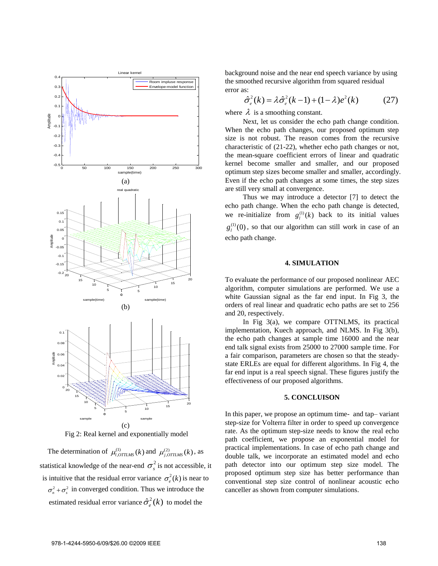

Fig 2: Real kernel and exponentially model

The determination of  $\mu_{l,OTILMS}^{(1)}(k)$  and  $\mu_{j,OTILMS}^{(2)}(k)$ , as statistical knowledge of the near-end  $\sigma_s^2$  is not accessible, it is intuitive that the residual error variance  $\sigma_e^2(k)$  is near to  $\sigma_n^2 + \sigma_s^2$  in converged condition. Thus we introduce the estimated residual error variance  $\hat{\sigma}_{e}^{2}(k)$  to model the

background noise and the near end speech variance by using the smoothed recursive algorithm from squared residual<br>
error as:<br>  $\hat{\sigma}_e^2(k) = \lambda \hat{\sigma}_e^2(k-1) + (1-\lambda)e^2(k)$  ( error as:

is:  
\n
$$
\hat{\sigma}_e^2(k) = \lambda \hat{\sigma}_e^2(k-1) + (1-\lambda)e^2(k)
$$
\n(27)

where  $\lambda$  is a smoothing constant.

Next, let us consider the echo path change condition. When the echo path changes, our proposed optimum step size is not robust. The reason comes from the recursive characteristic of (21-22), whether echo path changes or not, the mean-square coefficient errors of linear and quadratic kernel become smaller and smaller, and our proposed optimum step sizes become smaller and smaller, accordingly. Even if the echo path changes at some times, the step sizes are still very small at convergence.

Thus we may introduce a detector [7] to detect the echo path change. When the echo path change is detected, we re-initialize from  $g_l^{(1)}(k)$  back to its initial values  $g_l^{(1)}(0)$ , so that our algorithm can still work in case of an echo path change.

# **4. SIMULATION**

To evaluate the performance of our proposed nonlinear AEC algorithm, computer simulations are performed. We use a white Gaussian signal as the far end input. In Fig 3, the orders of real linear and quadratic echo paths are set to 256 and 20, respectively.

In Fig 3(a), we compare OTTNLMS, its practical implementation, Kuech approach, and NLMS. In Fig 3(b), the echo path changes at sample time 16000 and the near end talk signal exists from 25000 to 27000 sample time. For a fair comparison, parameters are chosen so that the steadystate ERLEs are equal for different algorithms. In Fig 4, the far end input is a real speech signal. These figures justify the effectiveness of our proposed algorithms.

## **5. CONCLUISON**

In this paper, we propose an optimum time- and tap– variant step-size for Volterra filter in order to speed up convergence rate. As the optimum step-size needs to know the real echo path coefficient, we propose an exponential model for practical implementations. In case of echo path change and double talk, we incorporate an estimated model and echo path detector into our optimum step size model. The proposed optimum step size has better performance than conventional step size control of nonlinear acoustic echo canceller as shown from computer simulations.